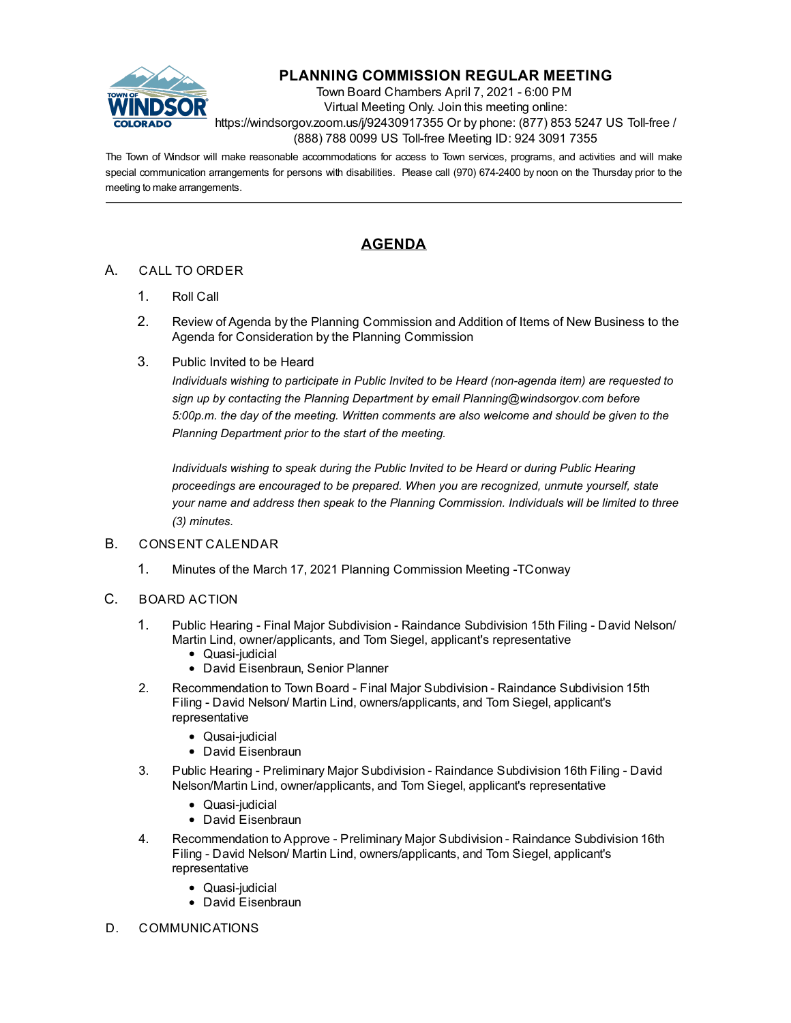

## **PLANNING COMMISSION REGULAR MEETING**

Town Board Chambers April 7, 2021 - 6:00 PM Virtual Meeting Only. Join this meeting online: https://windsorgov.zoom.us/j/92430917355 Or by phone: (877) 853 5247 US Toll-free / (888) 788 0099 US Toll-free Meeting ID: 924 3091 7355

The Town of Windsor will make reasonable accommodations for access to Town services, programs, and activities and will make special communication arrangements for persons with disabilities. Please call (970) 674-2400 by noon on the Thursday prior to the meeting to make arrangements.

## **AGENDA**

## A. CALL TO ORDER

- 1. Roll Call
- 2. Review of Agenda by the Planning Commission and Addition of Items of New Business to the Agenda for Consideration by the Planning Commission
- 3. Public Invited to be Heard

*Individuals wishing to participate in Public Invited to be Heard (non-agenda item) are requested to sign up by contacting the Planning Department by email Planning@windsorgov.com before 5:00p.m. the day of the meeting. Written comments are also welcome and should be given to the Planning Department prior to the start of the meeting.* 

*Individuals wishing to speak during the Public Invited to be Heard or during Public Hearing proceedings are encouraged to be prepared. When you are recognized, unmute yourself, state your name and address then speak to the Planning Commission. Individuals will be limited to three (3) minutes.*

## B. CONSENT CALENDAR

- 1. [Minutes of the March 17, 2021 Planning Commission Meeting -TConway](file:///C:/Windows/TEMP/CoverSheet.aspx?ItemID=1347&MeetingID=234)
- C. BOARD ACTION
	- 1. [Public Hearing Final Major Subdivision Raindance Subdivision 15th Filing David](file:///C:/Windows/TEMP/CoverSheet.aspx?ItemID=1353&MeetingID=234) Nelson/ Martin Lind, owner/applicants, and Tom Siegel, applicant's representative
		- Quasi-judicial
		- David Eisenbraun, Senior Planner
	- 2. [Recommendation to Town Board Final Major Subdivision Raindance Subdivision 15th](file:///C:/Windows/TEMP/CoverSheet.aspx?ItemID=1355&MeetingID=234) Filing - David Nelson/ Martin Lind, owners/applicants, and Tom Siegel, applicant's representative
		- Qusai-judicial
		- David Eisenbraun
	- 3. [Public Hearing Preliminary Major Subdivision Raindance Subdivision 16th Filing David](file:///C:/Windows/TEMP/CoverSheet.aspx?ItemID=1359&MeetingID=234) Nelson/Martin Lind, owner/applicants, and Tom Siegel, applicant's representative
		- Quasi-judicial
		- David Eisenbraun
	- 4. [Recommendation to Approve Preliminary Major Subdivision Raindance Subdivision 16th](file:///C:/Windows/TEMP/CoverSheet.aspx?ItemID=1356&MeetingID=234) Filing - David Nelson/ Martin Lind, owners/applicants, and Tom Siegel, applicant's representative
		- Quasi-judicial
		- David Eisenbraun
- D. COMMUNICATIONS